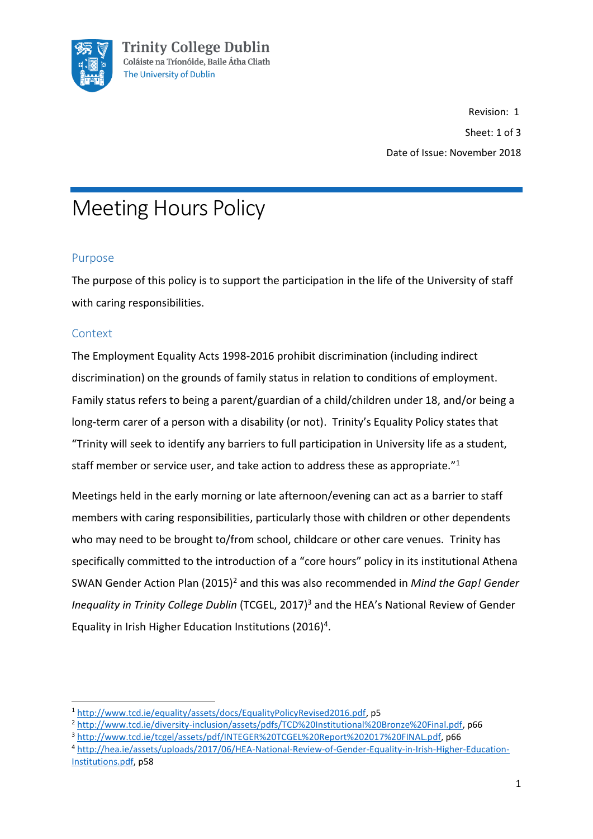

Revision: 1 Sheet: 1 of 3 Date of Issue: November 2018

# Meeting Hours Policy

## Purpose

The purpose of this policy is to support the participation in the life of the University of staff with caring responsibilities.

## **Context**

**.** 

The Employment Equality Acts 1998-2016 prohibit discrimination (including indirect discrimination) on the grounds of family status in relation to conditions of employment. Family status refers to being a parent/guardian of a child/children under 18, and/or being a long-term carer of a person with a disability (or not). Trinity's Equality Policy states that "Trinity will seek to identify any barriers to full participation in University life as a student, staff member or service user, and take action to address these as appropriate."<sup>1</sup>

Meetings held in the early morning or late afternoon/evening can act as a barrier to staff members with caring responsibilities, particularly those with children or other dependents who may need to be brought to/from school, childcare or other care venues. Trinity has specifically committed to the introduction of a "core hours" policy in its institutional Athena SWAN Gender Action Plan (2015)<sup>2</sup> and this was also recommended in *Mind the Gap! Gender Inequality in Trinity College Dublin* (TCGEL, 2017)<sup>3</sup> and the HEA's National Review of Gender Equality in Irish Higher Education Institutions (2016)<sup>4</sup>.

<sup>1</sup> [http://www.tcd.ie/equality/assets/docs/EqualityPolicyRevised2016.pdf,](http://www.tcd.ie/equality/assets/docs/EqualityPolicyRevised2016.pdf) p5

<sup>2</sup> [http://www.tcd.ie/diversity-inclusion/assets/pdfs/TCD%20Institutional%20Bronze%20Final.pdf,](http://www.tcd.ie/diversity-inclusion/assets/pdfs/TCD%20Institutional%20Bronze%20Final.pdf) p66

<sup>3</sup> [http://www.tcd.ie/tcgel/assets/pdf/INTEGER%20TCGEL%20Report%202017%20FINAL.pdf,](http://www.tcd.ie/tcgel/assets/pdf/INTEGER%20TCGEL%20Report%202017%20FINAL.pdf) p66

<sup>4</sup> [http://hea.ie/assets/uploads/2017/06/HEA-National-Review-of-Gender-Equality-in-Irish-Higher-Education-](http://hea.ie/assets/uploads/2017/06/HEA-National-Review-of-Gender-Equality-in-Irish-Higher-Education-Institutions.pdf)[Institutions.pdf,](http://hea.ie/assets/uploads/2017/06/HEA-National-Review-of-Gender-Equality-in-Irish-Higher-Education-Institutions.pdf) p58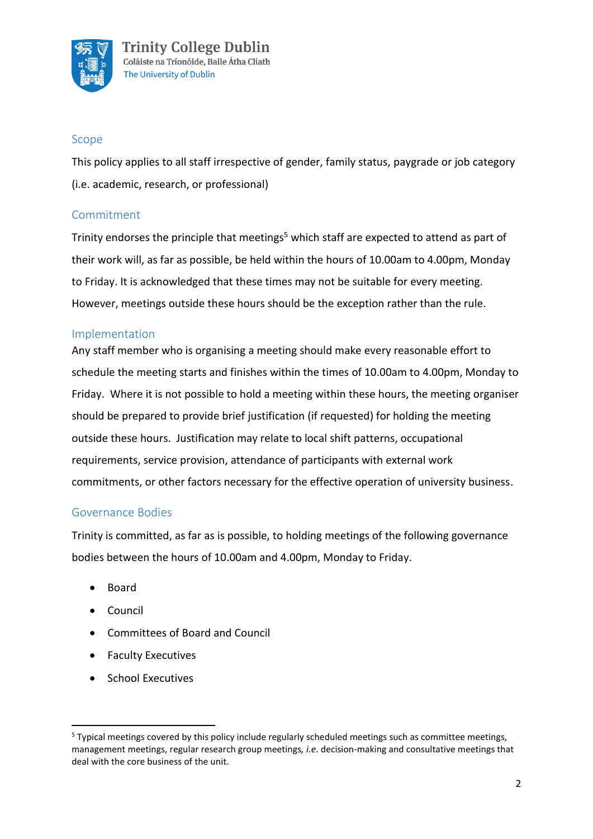

#### Scope

This policy applies to all staff irrespective of gender, family status, paygrade or job category (i.e. academic, research, or professional)

#### Commitment

Trinity endorses the principle that meetings<sup>5</sup> which staff are expected to attend as part of their work will, as far as possible, be held within the hours of 10.00am to 4.00pm, Monday to Friday. It is acknowledged that these times may not be suitable for every meeting. However, meetings outside these hours should be the exception rather than the rule.

#### Implementation

Any staff member who is organising a meeting should make every reasonable effort to schedule the meeting starts and finishes within the times of 10.00am to 4.00pm, Monday to Friday. Where it is not possible to hold a meeting within these hours, the meeting organiser should be prepared to provide brief justification (if requested) for holding the meeting outside these hours. Justification may relate to local shift patterns, occupational requirements, service provision, attendance of participants with external work commitments, or other factors necessary for the effective operation of university business.

#### Governance Bodies

Trinity is committed, as far as is possible, to holding meetings of the following governance bodies between the hours of 10.00am and 4.00pm, Monday to Friday.

- Board
- Council

**.** 

- Committees of Board and Council
- Faculty Executives
- School Executives

<sup>&</sup>lt;sup>5</sup> Typical meetings covered by this policy include regularly scheduled meetings such as committee meetings, management meetings, regular research group meetings*, i.e*. decision-making and consultative meetings that deal with the core business of the unit.